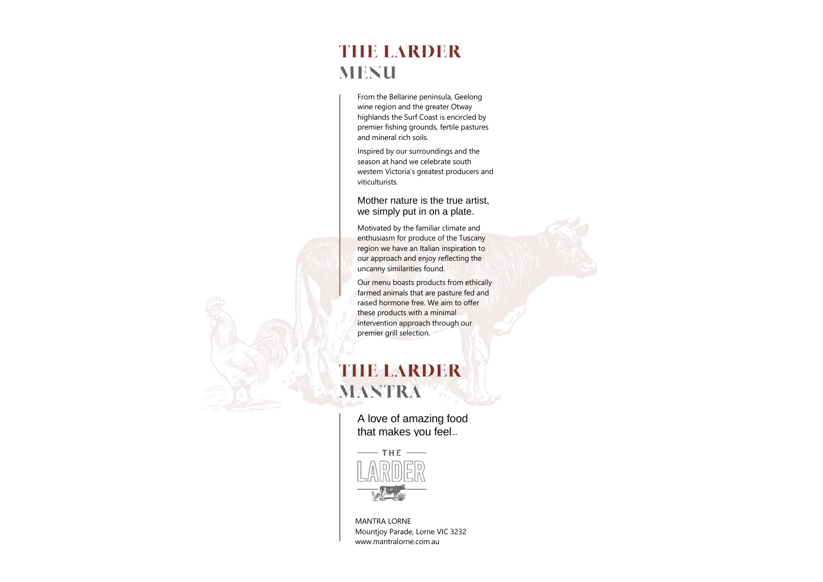MANTRA LORNE Mountjoy Parade, Lorne VIC 3232 www.mantralorne.com.au

A love of amazing food that makes you feel...



## **THE LARDER MENU**

From the Bellarine peninsula, Geelong wine region and the greater Otway highlands the Surf Coast is encircled by premier fishing grounds, fertile pastures and mineral rich soils.

Inspired by our surroundings and the season at hand we celebrate south western Victoria's greatest producers and viticulturists.

#### Mother nature is the true artist, we simply put in on a plate.

Motivated by the familiar climate and enthusiasm for produce of the Tuscany region we have an Italian inspiration to our approach and enjoy reflecting the uncanny similarities found.

Our menu boasts products from ethically farmed animals that are pasture fed and raised hormone free. We aim to offer these products with a minimal intervention approach through our premier grill selection.

# **THE LARDER MANTRA**